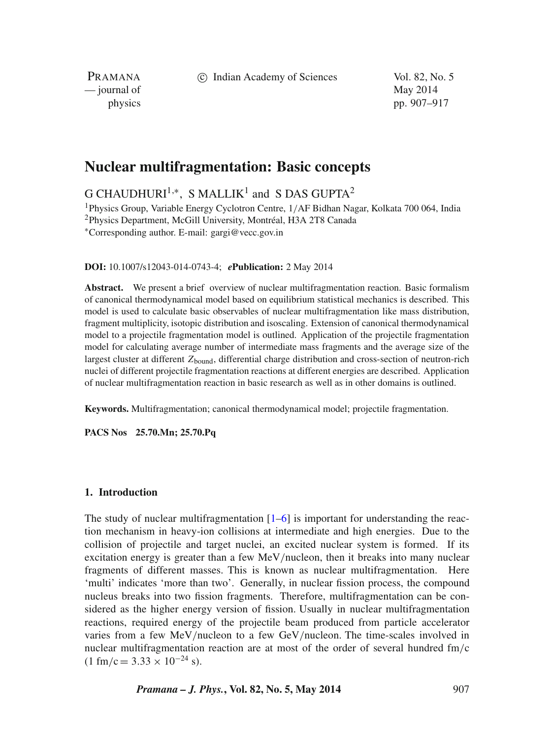c Indian Academy of Sciences Vol. 82, No. 5

PRAMANA — journal of May 2014

physics pp. 907–917

# **Nuclear multifragmentation: Basic concepts**

 $G$  CHAUDHURI<sup>1,\*</sup>, S MALLIK<sup>1</sup> and S DAS GUPTA<sup>2</sup>

1Physics Group, Variable Energy Cyclotron Centre, 1/AF Bidhan Nagar, Kolkata 700 064, India 2Physics Department, McGill University, Montréal, H3A 2T8 Canada ∗Corresponding author. E-mail: gargi@vecc.gov.in

**DOI:** 10.1007/s12043-014-0743-4; *e***Publication:** 2 May 2014

**Abstract.** We present a brief overview of nuclear multifragmentation reaction. Basic formalism of canonical thermodynamical model based on equilibrium statistical mechanics is described. This model is used to calculate basic observables of nuclear multifragmentation like mass distribution, fragment multiplicity, isotopic distribution and isoscaling. Extension of canonical thermodynamical model to a projectile fragmentation model is outlined. Application of the projectile fragmentation model for calculating average number of intermediate mass fragments and the average size of the largest cluster at different Z<sub>bound</sub>, differential charge distribution and cross-section of neutron-rich nuclei of different projectile fragmentation reactions at different energies are described. Application of nuclear multifragmentation reaction in basic research as well as in other domains is outlined.

**Keywords.** Multifragmentation; canonical thermodynamical model; projectile fragmentation.

**PACS Nos 25.70.Mn; 25.70.Pq**

#### **1. Introduction**

The study of nuclear multifragmentation  $[1-6]$  $[1-6]$  is important for understanding the reaction mechanism in heavy-ion collisions at intermediate and high energies. Due to the collision of projectile and target nuclei, an excited nuclear system is formed. If its excitation energy is greater than a few MeV/nucleon, then it breaks into many nuclear fragments of different masses. This is known as nuclear multifragmentation. Here 'multi' indicates 'more than two'. Generally, in nuclear fission process, the compound nucleus breaks into two fission fragments. Therefore, multifragmentation can be considered as the higher energy version of fission. Usually in nuclear multifragmentation reactions, required energy of the projectile beam produced from particle accelerator varies from a few MeV/nucleon to a few GeV/nucleon. The time-scales involved in nuclear multifragmentation reaction are at most of the order of several hundred  $\text{fm/c}$  $(1 \text{ fm/c} = 3.33 \times 10^{-24} \text{ s}).$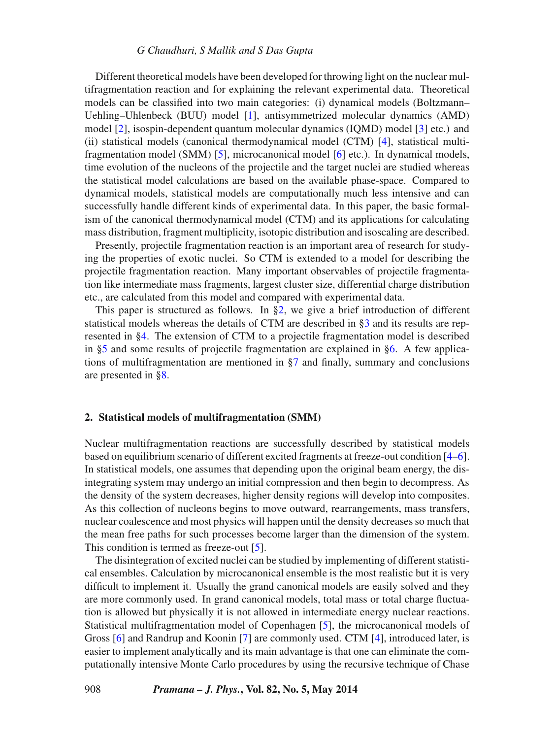#### *G Chaudhuri, S Mallik and S Das Gupta*

Different theoretical models have been developed for throwing light on the nuclear multifragmentation reaction and for explaining the relevant experimental data. Theoretical models can be classified into two main categories: (i) dynamical models (Boltzmann– Uehling–Uhlenbeck (BUU) model [\[1\]](#page-10-0), antisymmetrized molecular dynamics (AMD) model [\[2\]](#page-10-2), isospin-dependent quantum molecular dynamics (IQMD) model [\[3\]](#page-10-3) etc.) and (ii) statistical models (canonical thermodynamical model (CTM) [\[4\]](#page-10-4), statistical multifragmentation model (SMM) [\[5\]](#page-10-5), microcanonical model [\[6\]](#page-10-1) etc.). In dynamical models, time evolution of the nucleons of the projectile and the target nuclei are studied whereas the statistical model calculations are based on the available phase-space. Compared to dynamical models, statistical models are computationally much less intensive and can successfully handle different kinds of experimental data. In this paper, the basic formalism of the canonical thermodynamical model (CTM) and its applications for calculating mass distribution, fragment multiplicity, isotopic distribution and isoscaling are described.

Presently, projectile fragmentation reaction is an important area of research for studying the properties of exotic nuclei. So CTM is extended to a model for describing the projectile fragmentation reaction. Many important observables of projectile fragmentation like intermediate mass fragments, largest cluster size, differential charge distribution etc., are calculated from this model and compared with experimental data.

This paper is structured as follows. In [§2,](#page-1-0) we give a brief introduction of different statistical models whereas the details of CTM are described in [§3](#page-2-0) and its results are represented in [§4.](#page-3-0) The extension of CTM to a projectile fragmentation model is described in [§5](#page-5-0) and some results of projectile fragmentation are explained in [§6.](#page-6-0) A few applications of multifragmentation are mentioned in [§7](#page-9-0) and finally, summary and conclusions are presented in [§8.](#page-9-1)

### <span id="page-1-0"></span>**2. Statistical models of multifragmentation (SMM)**

Nuclear multifragmentation reactions are successfully described by statistical models based on equilibrium scenario of different excited fragments at freeze-out condition [\[4–](#page-10-4)[6\]](#page-10-1). In statistical models, one assumes that depending upon the original beam energy, the disintegrating system may undergo an initial compression and then begin to decompress. As the density of the system decreases, higher density regions will develop into composites. As this collection of nucleons begins to move outward, rearrangements, mass transfers, nuclear coalescence and most physics will happen until the density decreases so much that the mean free paths for such processes become larger than the dimension of the system. This condition is termed as freeze-out [\[5\]](#page-10-5).

The disintegration of excited nuclei can be studied by implementing of different statistical ensembles. Calculation by microcanonical ensemble is the most realistic but it is very difficult to implement it. Usually the grand canonical models are easily solved and they are more commonly used. In grand canonical models, total mass or total charge fluctuation is allowed but physically it is not allowed in intermediate energy nuclear reactions. Statistical multifragmentation model of Copenhagen [\[5\]](#page-10-5), the microcanonical models of Gross [\[6\]](#page-10-1) and Randrup and Koonin [\[7\]](#page-10-6) are commonly used. CTM [\[4\]](#page-10-4), introduced later, is easier to implement analytically and its main advantage is that one can eliminate the computationally intensive Monte Carlo procedures by using the recursive technique of Chase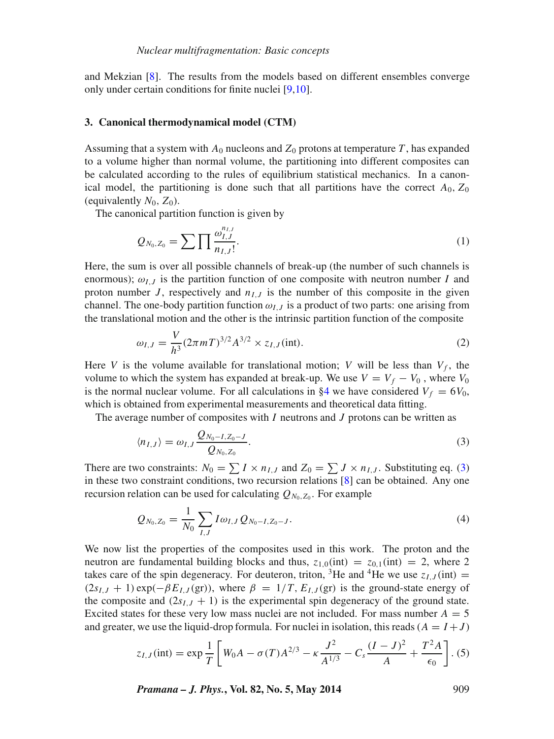and Mekzian [\[8\]](#page-10-7). The results from the models based on different ensembles converge only under certain conditions for finite nuclei [\[9,](#page-10-8)[10\]](#page-10-9).

#### <span id="page-2-0"></span>**3. Canonical thermodynamical model (CTM)**

Assuming that a system with  $A_0$  nucleons and  $Z_0$  protons at temperature T, has expanded to a volume higher than normal volume, the partitioning into different composites can be calculated according to the rules of equilibrium statistical mechanics. In a canonical model, the partitioning is done such that all partitions have the correct  $A_0$ ,  $Z_0$ (equivalently  $N_0$ ,  $Z_0$ ).

The canonical partition function is given by

$$
Q_{N_0,Z_0} = \sum \prod \frac{\omega_{I,J}^{n_{I,J}}}{n_{I,J}!}.
$$
 (1)

Here, the sum is over all possible channels of break-up (the number of such channels is enormous);  $\omega_{I,J}$  is the partition function of one composite with neutron number I and proton number J, respectively and  $n_{I,J}$  is the number of this composite in the given channel. The one-body partition function  $\omega_{I,J}$  is a product of two parts: one arising from the translational motion and the other is the intrinsic partition function of the composite

$$
\omega_{I,J} = \frac{V}{h^3} (2\pi m T)^{3/2} A^{3/2} \times z_{I,J} (\text{int}).
$$
\n(2)

Here V is the volume available for translational motion; V will be less than  $V_f$ , the volume to which the system has expanded at break-up. We use  $V = V_f - V_0$ , where  $V_0$ is the normal nuclear volume. For all calculations in [§4](#page-3-0) we have considered  $V_f = 6V_0$ , which is obtained from experimental measurements and theoretical data fitting.

The average number of composites with  $I$  neutrons and  $J$  protons can be written as

<span id="page-2-1"></span>
$$
\langle n_{I,J} \rangle = \omega_{I,J} \frac{Q_{N_0 - I, Z_0 - J}}{Q_{N_0, Z_0}}.
$$
\n
$$
(3)
$$

There are two constraints:  $N_0 = \sum I \times n_{I,J}$  and  $Z_0 = \sum J \times n_{I,J}$ . Substituting eq. [\(3\)](#page-2-1) in these two constraint conditions, two recursion relations  $[8]$  can be obtained. Any one recursion relation can be used for calculating  $Q_{N_0,Z_0}$ . For example

<span id="page-2-2"></span>
$$
Q_{N_0,Z_0} = \frac{1}{N_0} \sum_{I,J} I \omega_{I,J} Q_{N_0-I,Z_0-J}.
$$
\n(4)

We now list the properties of the composites used in this work. The proton and the neutron are fundamental building blocks and thus,  $z_{1,0}$ (int) =  $z_{0,1}$ (int) = 2, where 2 takes care of the spin degeneracy. For deuteron, triton, <sup>3</sup>He and <sup>4</sup>He we use  $z_{LL}$  (int) =  $(2s_{I,J} + 1) \exp(-\beta E_{I,J}(\text{gr}))$ , where  $\beta = 1/T$ ,  $E_{I,J}(\text{gr})$  is the ground-state energy of the composite and  $(2s_{I,J} + 1)$  is the experimental spin degeneracy of the ground state. Excited states for these very low mass nuclei are not included. For mass number  $A = 5$ and greater, we use the liquid-drop formula. For nuclei in isolation, this reads  $(A = I + J)$ 

<span id="page-2-3"></span>
$$
z_{I,J}(\text{int}) = \exp\frac{1}{T} \left[ W_0 A - \sigma(T) A^{2/3} - \kappa \frac{J^2}{A^{1/3}} - C_s \frac{(I-J)^2}{A} + \frac{T^2 A}{\epsilon_0} \right].
$$
 (5)

*Pramana – J. Phys.***, Vol. 82, No. 5, May 2014** 909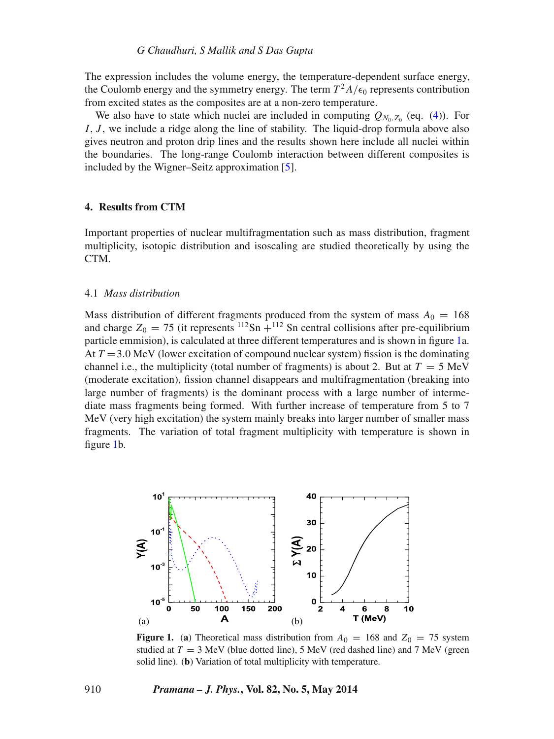The expression includes the volume energy, the temperature-dependent surface energy, the Coulomb energy and the symmetry energy. The term  $T^2A/\epsilon_0$  represents contribution from excited states as the composites are at a non-zero temperature.

We also have to state which nuclei are included in computing  $Q_{N_0,Z_0}$  (eq. [\(4\)](#page-2-2)). For  $I, J$ , we include a ridge along the line of stability. The liquid-drop formula above also gives neutron and proton drip lines and the results shown here include all nuclei within the boundaries. The long-range Coulomb interaction between different composites is included by the Wigner–Seitz approximation [\[5\]](#page-10-5).

### <span id="page-3-0"></span>**4. Results from CTM**

Important properties of nuclear multifragmentation such as mass distribution, fragment multiplicity, isotopic distribution and isoscaling are studied theoretically by using the CTM.

## 4.1 *Mass distribution*

Mass distribution of different fragments produced from the system of mass  $A_0 = 168$ and charge  $Z_0 = 75$  (it represents <sup>112</sup>Sn +<sup>112</sup> Sn central collisions after pre-equilibrium particle emmision), is calculated at three different temperatures and is shown in figure [1a](#page-3-1). At  $T = 3.0$  MeV (lower excitation of compound nuclear system) fission is the dominating channel i.e., the multiplicity (total number of fragments) is about 2. But at  $T = 5$  MeV (moderate excitation), fission channel disappears and multifragmentation (breaking into large number of fragments) is the dominant process with a large number of intermediate mass fragments being formed. With further increase of temperature from 5 to 7 MeV (very high excitation) the system mainly breaks into larger number of smaller mass fragments. The variation of total fragment multiplicity with temperature is shown in figure [1b](#page-3-1).

<span id="page-3-1"></span>

**Figure 1.** (a) Theoretical mass distribution from  $A_0 = 168$  and  $Z_0 = 75$  system studied at  $T = 3$  MeV (blue dotted line), 5 MeV (red dashed line) and 7 MeV (green solid line). (**b**) Variation of total multiplicity with temperature.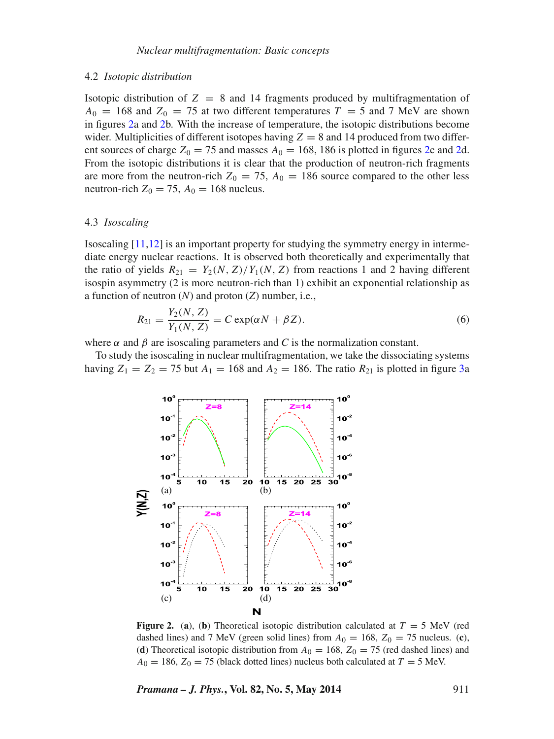#### 4.2 *Isotopic distribution*

Isotopic distribution of  $Z = 8$  and 14 fragments produced by multifragmentation of  $A_0 = 168$  and  $Z_0 = 75$  at two different temperatures  $T = 5$  and 7 MeV are shown in figures [2a](#page-4-0) and [2b](#page-4-0). With the increase of temperature, the isotopic distributions become wider. Multiplicities of different isotopes having  $Z = 8$  and 14 produced from two different sources of charge  $Z_0 = 75$  and masses  $A_0 = 168$ , 186 is plotted in figures [2c](#page-4-0) and [2d](#page-4-0). From the isotopic distributions it is clear that the production of neutron-rich fragments are more from the neutron-rich  $Z_0 = 75$ ,  $A_0 = 186$  source compared to the other less neutron-rich  $Z_0 = 75$ ,  $A_0 = 168$  nucleus.

#### 4.3 *Isoscaling*

Isoscaling [\[11](#page-10-10)[,12\]](#page-10-11) is an important property for studying the symmetry energy in intermediate energy nuclear reactions. It is observed both theoretically and experimentally that the ratio of yields  $R_{21} = Y_2(N, Z)/Y_1(N, Z)$  from reactions 1 and 2 having different isospin asymmetry (2 is more neutron-rich than 1) exhibit an exponential relationship as a function of neutron (*N*) and proton (*Z*) number, i.e.,

$$
R_{21} = \frac{Y_2(N, Z)}{Y_1(N, Z)} = C \exp(\alpha N + \beta Z). \tag{6}
$$

where  $\alpha$  and  $\beta$  are isoscaling parameters and *C* is the normalization constant.

<span id="page-4-0"></span>To study the isoscaling in nuclear multifragmentation, we take the dissociating systems having  $Z_1 = Z_2 = 75$  but  $A_1 = 168$  and  $A_2 = 186$ . The ratio  $R_{21}$  is plotted in figure [3a](#page-5-1)



**Figure 2.** (a), (b) Theoretical isotopic distribution calculated at  $T = 5$  MeV (red dashed lines) and 7 MeV (green solid lines) from  $A_0 = 168$ ,  $Z_0 = 75$  nucleus. (**c**), (**d**) Theoretical isotopic distribution from  $A_0 = 168$ ,  $Z_0 = 75$  (red dashed lines) and  $A_0 = 186$ ,  $Z_0 = 75$  (black dotted lines) nucleus both calculated at  $T = 5$  MeV.

*Pramana – J. Phys.***, Vol. 82, No. 5, May 2014** 911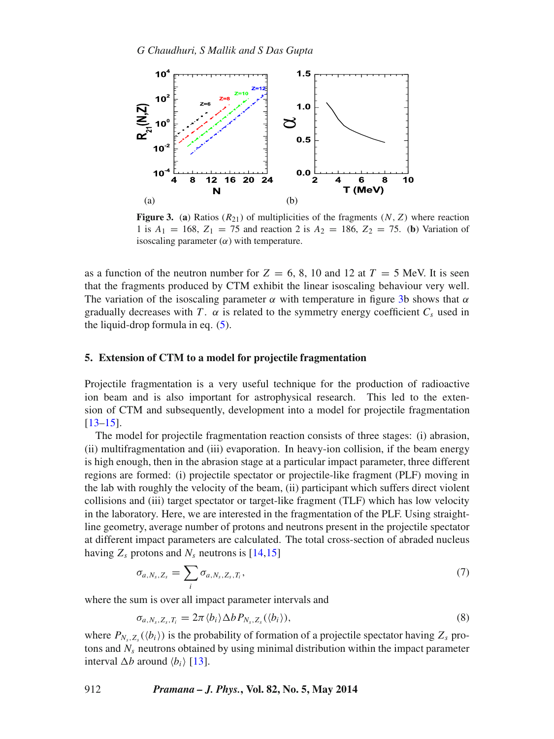<span id="page-5-1"></span>

**Figure 3.** (a) Ratios  $(R_{21})$  of multiplicities of the fragments  $(N, Z)$  where reaction 1 is  $A_1 = 168$ ,  $Z_1 = 75$  and reaction 2 is  $A_2 = 186$ ,  $Z_2 = 75$ . (**b**) Variation of isoscaling parameter  $(\alpha)$  with temperature.

as a function of the neutron number for  $Z = 6, 8, 10$  and 12 at  $T = 5$  MeV. It is seen that the fragments produced by CTM exhibit the linear isoscaling behaviour very well. The variation of the isoscaling parameter  $\alpha$  with temperature in figure [3b](#page-5-1) shows that  $\alpha$ gradually decreases with T.  $\alpha$  is related to the symmetry energy coefficient  $C_s$  used in the liquid-drop formula in eq.  $(5)$ .

## <span id="page-5-0"></span>**5. Extension of CTM to a model for projectile fragmentation**

Projectile fragmentation is a very useful technique for the production of radioactive ion beam and is also important for astrophysical research. This led to the extension of CTM and subsequently, development into a model for projectile fragmentation [\[13](#page-10-12)[–15\]](#page-10-13).

The model for projectile fragmentation reaction consists of three stages: (i) abrasion, (ii) multifragmentation and (iii) evaporation. In heavy-ion collision, if the beam energy is high enough, then in the abrasion stage at a particular impact parameter, three different regions are formed: (i) projectile spectator or projectile-like fragment (PLF) moving in the lab with roughly the velocity of the beam, (ii) participant which suffers direct violent collisions and (iii) target spectator or target-like fragment (TLF) which has low velocity in the laboratory. Here, we are interested in the fragmentation of the PLF. Using straightline geometry, average number of protons and neutrons present in the projectile spectator at different impact parameters are calculated. The total cross-section of abraded nucleus having  $Z_s$  protons and  $N_s$  neutrons is [\[14,](#page-10-14)[15\]](#page-10-13)

$$
\sigma_{a,N_s,Z_s} = \sum_i \sigma_{a,N_s,Z_s,T_i},\tag{7}
$$

where the sum is over all impact parameter intervals and

$$
\sigma_{a,N_s,Z_s,T_i} = 2\pi \langle b_i \rangle \Delta b P_{N_s,Z_s}(\langle b_i \rangle), \tag{8}
$$

where  $P_{N_x,Z_y}(\langle b_i \rangle)$  is the probability of formation of a projectile spectator having  $Z_s$  protons and  $N_s$  neutrons obtained by using minimal distribution within the impact parameter interval  $\Delta b$  around  $\langle b_i \rangle$  [\[13\]](#page-10-12).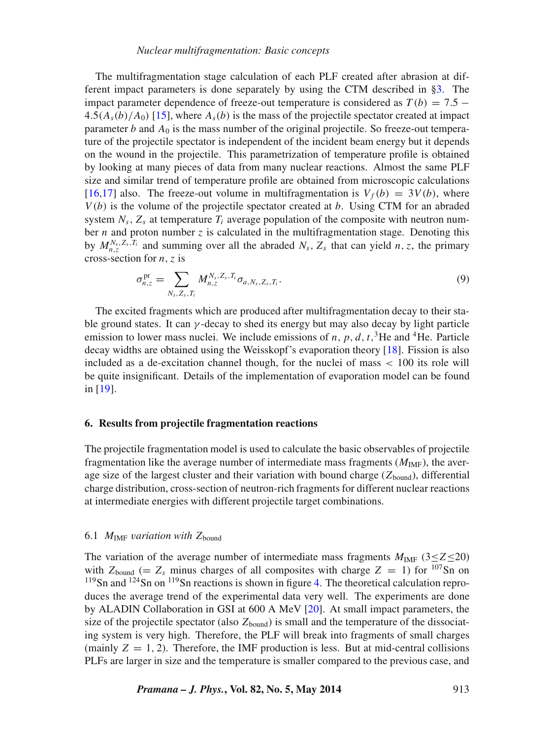The multifragmentation stage calculation of each PLF created after abrasion at different impact parameters is done separately by using the CTM described in [§3.](#page-2-0) The impact parameter dependence of freeze-out temperature is considered as  $T(b) = 7.5 4.5(A<sub>s</sub>(b)/A<sub>0</sub>)$  [\[15\]](#page-10-13), where  $A<sub>s</sub>(b)$  is the mass of the projectile spectator created at impact parameter b and  $A_0$  is the mass number of the original projectile. So freeze-out temperature of the projectile spectator is independent of the incident beam energy but it depends on the wound in the projectile. This parametrization of temperature profile is obtained by looking at many pieces of data from many nuclear reactions. Almost the same PLF size and similar trend of temperature profile are obtained from microscopic calculations [\[16](#page-10-15)[,17\]](#page-10-16) also. The freeze-out volume in multifragmentation is  $V_f(b) = 3V(b)$ , where  $V(b)$  is the volume of the projectile spectator created at b. Using CTM for an abraded system  $N_s$ ,  $Z_s$  at temperature  $T_i$  average population of the composite with neutron number  $n$  and proton number  $z$  is calculated in the multifragmentation stage. Denoting this by  $M_{n,z}^{N_s,Z_s,T_i}$  and summing over all the abraded  $N_s$ ,  $Z_s$  that can yield n, z, the primary cross-section for  $n, z$  is

$$
\sigma_{n,z}^{\text{pr}} = \sum_{N_s, Z_s, T_i} M_{n,z}^{N_s, Z_s, T_i} \sigma_{a, N_s, Z_s, T_i}.
$$
\n(9)

The excited fragments which are produced after multifragmentation decay to their stable ground states. It can  $\gamma$ -decay to shed its energy but may also decay by light particle emission to lower mass nuclei. We include emissions of n, p, d, t,<sup>3</sup>He and <sup>4</sup>He. Particle decay widths are obtained using the Weisskopf's evaporation theory [\[18\]](#page-10-17). Fission is also included as a de-excitation channel though, for the nuclei of mass  $\langle 100 \rangle$  its role will be quite insignificant. Details of the implementation of evaporation model can be found in [\[19\]](#page-10-18).

#### <span id="page-6-0"></span>**6. Results from projectile fragmentation reactions**

The projectile fragmentation model is used to calculate the basic observables of projectile fragmentation like the average number of intermediate mass fragments  $(M_{\text{IMF}})$ , the average size of the largest cluster and their variation with bound charge  $(Z_{bound})$ , differential charge distribution, cross-section of neutron-rich fragments for different nuclear reactions at intermediate energies with different projectile target combinations.

#### 6.1  $M_{\text{IMF}}$  variation with  $Z_{\text{bound}}$

The variation of the average number of intermediate mass fragments  $M_{\text{IMF}}$  (3≤Z≤20) with  $Z_{bound}$  (=  $Z_s$  minus charges of all composites with charge  $Z = 1$ ) for  $107$ Sn on  $119$ Sn and  $124$ Sn on  $119$ Sn reactions is shown in figure [4.](#page-7-0) The theoretical calculation reproduces the average trend of the experimental data very well. The experiments are done by ALADIN Collaboration in GSI at 600 A MeV [\[20\]](#page-10-19). At small impact parameters, the size of the projectile spectator (also  $Z_{bound}$ ) is small and the temperature of the dissociating system is very high. Therefore, the PLF will break into fragments of small charges (mainly  $Z = 1, 2$ ). Therefore, the IMF production is less. But at mid-central collisions PLFs are larger in size and the temperature is smaller compared to the previous case, and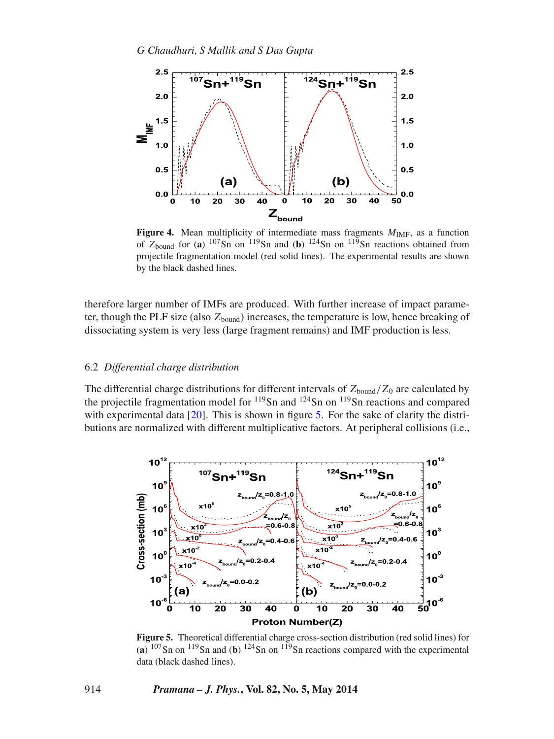<span id="page-7-0"></span>

**Figure 4.** Mean multiplicity of intermediate mass fragments  $M_{\text{IMF}}$ , as a function of  $Z_{bound}$  for (a)  $107\text{Sn}$  on  $119\text{Sn}$  and (b)  $124\text{Sn}$  on  $119\text{Sn}$  reactions obtained from projectile fragmentation model (red solid lines). The experimental results are shown by the black dashed lines.

therefore larger number of IMFs are produced. With further increase of impact parameter, though the PLF size (also  $Z_{bound}$ ) increases, the temperature is low, hence breaking of dissociating system is very less (large fragment remains) and IMF production is less.

#### 6.2 *Differential charge distribution*

The differential charge distributions for different intervals of  $Z_{bound}/Z_0$  are calculated by the projectile fragmentation model for 119Sn and 124Sn on 119Sn reactions and compared with experimental data  $[20]$ . This is shown in figure [5.](#page-7-1) For the sake of clarity the distributions are normalized with different multiplicative factors. At peripheral collisions (i.e.,

<span id="page-7-1"></span>

**Figure 5.** Theoretical differential charge cross-section distribution (red solid lines) for  $(a)$ <sup>107</sup>Sn on <sup>119</sup>Sn and (**b**)<sup>124</sup>Sn on <sup>119</sup>Sn reactions compared with the experimental data (black dashed lines).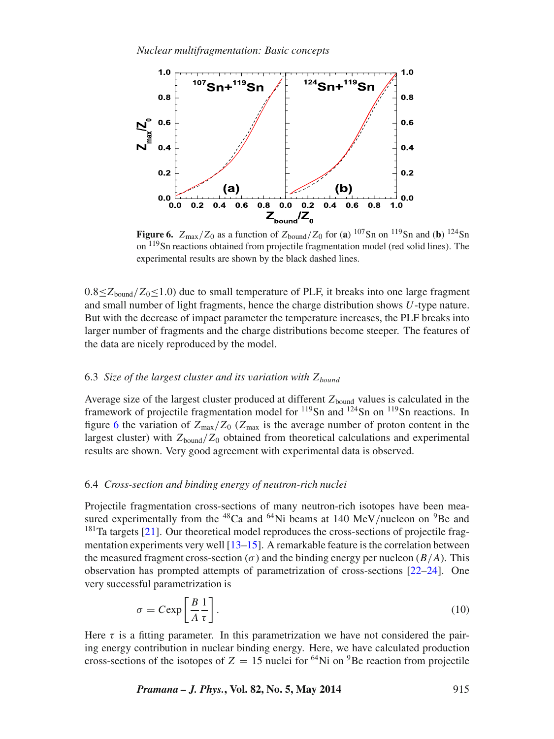<span id="page-8-0"></span>

**Figure 6.**  $Z_{\text{max}}/Z_0$  as a function of  $Z_{\text{bound}}/Z_0$  for (**a**)  $^{107}$ Sn on  $^{119}$ Sn and (**b**)  $^{124}$ Sn on <sup>119</sup>Sn reactions obtained from projectile fragmentation model (red solid lines). The experimental results are shown by the black dashed lines.

 $0.8 \leq Z_{\text{bound}}/Z_0 \leq 1.0$ ) due to small temperature of PLF, it breaks into one large fragment and small number of light fragments, hence the charge distribution shows U-type nature. But with the decrease of impact parameter the temperature increases, the PLF breaks into larger number of fragments and the charge distributions become steeper. The features of the data are nicely reproduced by the model.

## 6.3 *Size of the largest cluster and its variation with*  $Z_{bound}$

Average size of the largest cluster produced at different  $Z_{bound}$  values is calculated in the framework of projectile fragmentation model for  $^{119}$ Sn and  $^{124}$ Sn on  $^{119}$ Sn reactions. In figure [6](#page-8-0) the variation of  $Z_{\text{max}}/Z_0$  ( $Z_{\text{max}}$  is the average number of proton content in the largest cluster) with  $Z_{bound}/Z_0$  obtained from theoretical calculations and experimental results are shown. Very good agreement with experimental data is observed.

#### 6.4 *Cross-section and binding energy of neutron-rich nuclei*

Projectile fragmentation cross-sections of many neutron-rich isotopes have been measured experimentally from the  ${}^{48}$ Ca and  ${}^{64}$ Ni beams at 140 MeV/nucleon on  ${}^{9}$ Be and <sup>181</sup>Ta targets [\[21\]](#page-10-20). Our theoretical model reproduces the cross-sections of projectile fragmentation experiments very well  $[13–15]$  $[13–15]$ . A remarkable feature is the correlation between the measured fragment cross-section ( $\sigma$ ) and the binding energy per nucleon ( $B/A$ ). This observation has prompted attempts of parametrization of cross-sections [\[22](#page-10-21)[–24\]](#page-10-22). One very successful parametrization is

$$
\sigma = C \exp\left[\frac{B}{A}\frac{1}{\tau}\right].\tag{10}
$$

Here  $\tau$  is a fitting parameter. In this parametrization we have not considered the pairing energy contribution in nuclear binding energy. Here, we have calculated production cross-sections of the isotopes of  $Z = 15$  nuclei for <sup>64</sup>Ni on <sup>9</sup>Be reaction from projectile

*Pramana – J. Phys.*, Vol. 82, No. 5, May 2014 915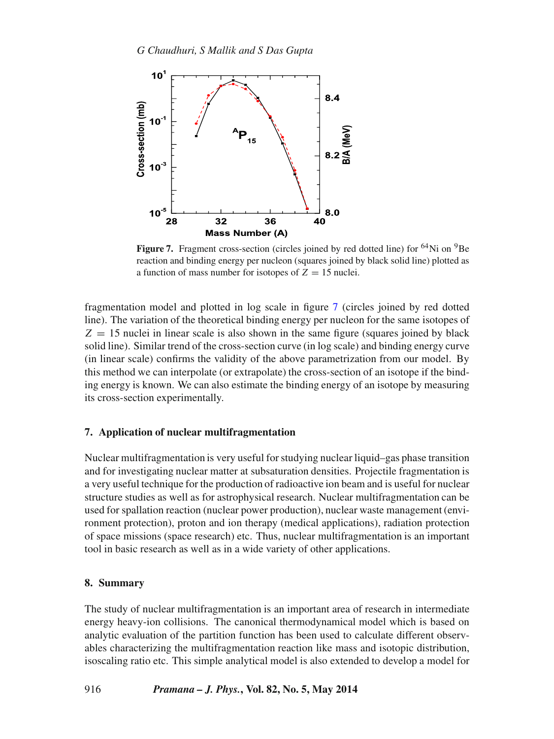<span id="page-9-2"></span>

Figure 7. Fragment cross-section (circles joined by red dotted line) for <sup>64</sup>Ni on <sup>9</sup>Be reaction and binding energy per nucleon (squares joined by black solid line) plotted as a function of mass number for isotopes of  $Z = 15$  nuclei.

fragmentation model and plotted in log scale in figure [7](#page-9-2) (circles joined by red dotted line). The variation of the theoretical binding energy per nucleon for the same isotopes of  $Z = 15$  nuclei in linear scale is also shown in the same figure (squares joined by black solid line). Similar trend of the cross-section curve (in log scale) and binding energy curve (in linear scale) confirms the validity of the above parametrization from our model. By this method we can interpolate (or extrapolate) the cross-section of an isotope if the binding energy is known. We can also estimate the binding energy of an isotope by measuring its cross-section experimentally.

# <span id="page-9-0"></span>**7. Application of nuclear multifragmentation**

Nuclear multifragmentation is very useful forstudying nuclear liquid–gas phase transition and for investigating nuclear matter at subsaturation densities. Projectile fragmentation is a very useful technique for the production of radioactive ion beam and is useful for nuclear structure studies as well as for astrophysical research. Nuclear multifragmentation can be used for spallation reaction (nuclear power production), nuclear waste management (environment protection), proton and ion therapy (medical applications), radiation protection of space missions (space research) etc. Thus, nuclear multifragmentation is an important tool in basic research as well as in a wide variety of other applications.

# <span id="page-9-1"></span>**8. Summary**

The study of nuclear multifragmentation is an important area of research in intermediate energy heavy-ion collisions. The canonical thermodynamical model which is based on analytic evaluation of the partition function has been used to calculate different observables characterizing the multifragmentation reaction like mass and isotopic distribution, isoscaling ratio etc. This simple analytical model is also extended to develop a model for